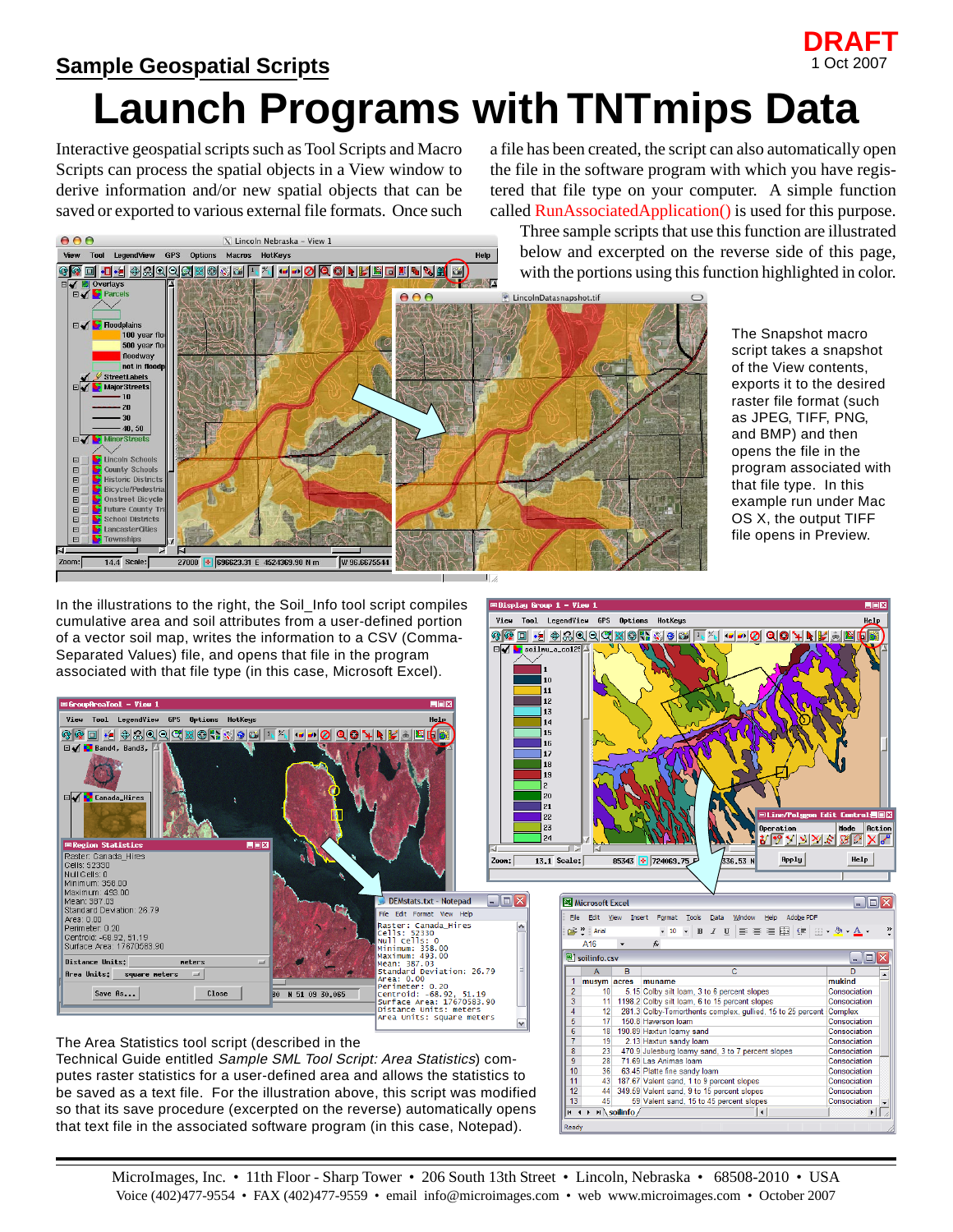## **Launch Programs with TNTmips Data Sample Geospatial Scripts** 1 Oct 2007 **DRAFT**

Interactive geospatial scripts such as Tool Scripts and Macro Scripts can process the spatial objects in a View window to derive information and/or new spatial objects that can be saved or exported to various external file formats. Once such a file has been created, the script can also automatically open the file in the software program with which you have registered that file type on your computer. A simple function called RunAssociatedApplication() is used for this purpose.

Three sample scripts that use this function are illustrated  $000$  $\overline{X}$  Lincoln Nebraska - View 1 below and excerpted on the reverse side of this page, View Tool LegendView GPS Options Macros HotKeys Help <u>cedida conquedad la code de la poe</u> with the portions using this function highlighted in color.**EM** Parcels  $AA$ LincolnDatasnapshot.tif  $\Box \blacktriangleleft$  Floodplains 100 year flo .<br>500 year flo floodway not in floor **StreetLahels MajorStreets**  $-10$ 20 40,50 Mino coln Schools  $\Box$ County Schools Historic Districts<br>Bicycle/Pedestri  $\begin{array}{c} \square \\ \square \end{array}$  $\Box$ Onstreet Bicycle **Ire County**  $\Box$ **School Districts**  $\overline{E}$ ancasterCities ownships  $\overline{14.4}$  Scale: 27000 |◆ 696623.31 E 4524369.90 N m W 96.6675544

The Snapshot macro script takes a snapshot of the View contents, exports it to the desired raster file format (such as JPEG, TIFF, PNG, and BMP) and then opens the file in the program associated with that file type. In this example run under Mac OS X, the output TIFF file opens in Preview.

In the illustrations to the right, the Soil Info tool script compiles cumulative area and soil attributes from a user-defined portion of a vector soil map, writes the information to a CSV (Comma-Separated Values) file, and opens that file in the program associated with that file type (in this case, Microsoft Excel).

 $Toul - Vieu 1$ 

nd4, Band3,

**EVIP** 

⊟√ <mark>:</mark> Canada\_Hires

.<br>gion Statistic:

Standard Deviation: 26.79

Centroid: -68.92, 51.19<br>Surface Area: 17670583.90

Area Units: square meters

Save As...

Raster: Canada\_Hires<br>Cells: 52330

Null Gells: 0<br>Minimum: 358.00<br>Maximum: 493.00<br>Mean: 387.03

Area: 0.00<br>Perimeter: 0.20

Distance Units:

View Tool LegendView GPS Options HotKeys

The Area Statistics tool script (described in the

Close

neter:

Technical Guide entitled Sample SML Tool Script: Area Statistics) computes raster statistics for a user-defined area and allows the statistics to be saved as a text file. For the illustration above, this script was modified so that its save procedure (excerpted on the reverse) automatically opens that text file in the associated software program (in this case, Notepad).



Ready

**Olisplay Group 1 - View 1** 

 $\overline{\blacksquare\blacktriangle\blacktriangle}$  soilnu\_a\_co12!

View Tool LegendView GPS Options HotKeys

◈<mark>◈ □▏·Ⅎ</mark> ♦¦纪ଏଏଔଞ®<mark>ଋ «) ●| ା | ਪ / | ••|⊘| ଏଠା 1-| Н|β</mark>|ଈ|<mark>⊠|о́|®</mark>